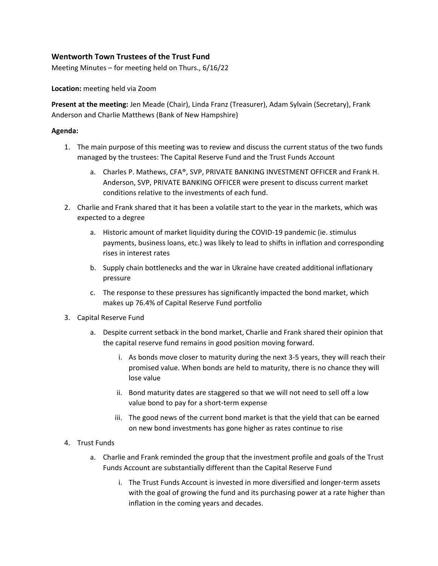## **Wentworth Town Trustees of the Trust Fund**

Meeting Minutes – for meeting held on Thurs., 6/16/22

**Location:** meeting held via Zoom

**Present at the meeting:** Jen Meade (Chair), Linda Franz (Treasurer), Adam Sylvain (Secretary), Frank Anderson and Charlie Matthews (Bank of New Hampshire)

## **Agenda:**

- 1. The main purpose of this meeting was to review and discuss the current status of the two funds managed by the trustees: The Capital Reserve Fund and the Trust Funds Account
	- a. Charles P. Mathews, CFA®, SVP, PRIVATE BANKING INVESTMENT OFFICER and Frank H. Anderson, SVP, PRIVATE BANKING OFFICER were present to discuss current market conditions relative to the investments of each fund.
- 2. Charlie and Frank shared that it has been a volatile start to the year in the markets, which was expected to a degree
	- a. Historic amount of market liquidity during the COVID-19 pandemic (ie. stimulus payments, business loans, etc.) was likely to lead to shifts in inflation and corresponding rises in interest rates
	- b. Supply chain bottlenecks and the war in Ukraine have created additional inflationary pressure
	- c. The response to these pressures has significantly impacted the bond market, which makes up 76.4% of Capital Reserve Fund portfolio
- 3. Capital Reserve Fund
	- a. Despite current setback in the bond market, Charlie and Frank shared their opinion that the capital reserve fund remains in good position moving forward.
		- i. As bonds move closer to maturity during the next 3-5 years, they will reach their promised value. When bonds are held to maturity, there is no chance they will lose value
		- ii. Bond maturity dates are staggered so that we will not need to sell off a low value bond to pay for a short-term expense
		- iii. The good news of the current bond market is that the yield that can be earned on new bond investments has gone higher as rates continue to rise

## 4. Trust Funds

- a. Charlie and Frank reminded the group that the investment profile and goals of the Trust Funds Account are substantially different than the Capital Reserve Fund
	- i. The Trust Funds Account is invested in more diversified and longer-term assets with the goal of growing the fund and its purchasing power at a rate higher than inflation in the coming years and decades.